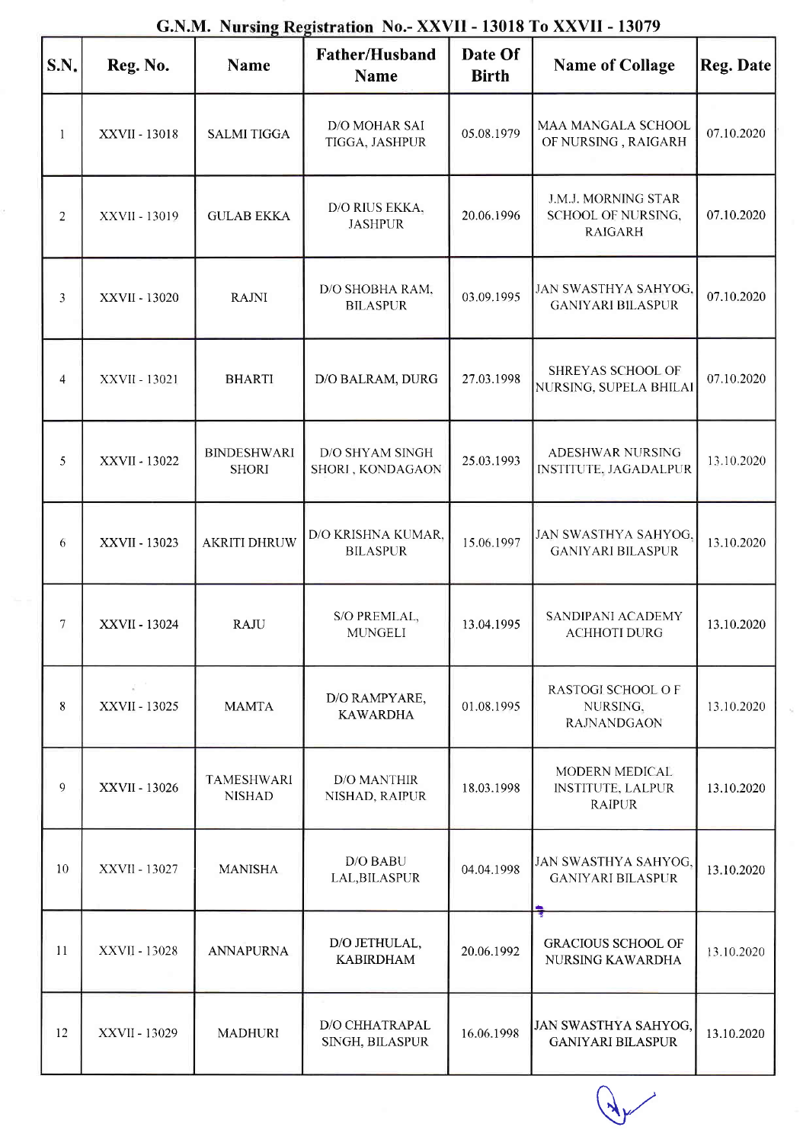| S.N.           | Reg. No.                                    | <b>Name</b>                        | Gavan. Introduction and the AAVII - 15010 TO AAVII - 15077<br>Father/Husband<br><b>Name</b> | Date Of<br><b>Birth</b> | <b>Name of Collage</b>                                      | Reg. Date  |
|----------------|---------------------------------------------|------------------------------------|---------------------------------------------------------------------------------------------|-------------------------|-------------------------------------------------------------|------------|
| $\mathbf{1}$   | XXVII - 13018                               | <b>SALMI TIGGA</b>                 | D/O MOHAR SAI<br>TIGGA, JASHPUR                                                             | 05.08.1979              | MAA MANGALA SCHOOL<br>OF NURSING, RAIGARH                   | 07.10.2020 |
| $\overline{2}$ | XXVII - 13019                               | <b>GULAB EKKA</b>                  | D/O RIUS EKKA,<br><b>JASHPUR</b>                                                            | 20.06.1996              | J.M.J. MORNING STAR<br>SCHOOL OF NURSING,<br><b>RAIGARH</b> | 07.10.2020 |
| 3              | XXVII - 13020                               | <b>RAJNI</b>                       | D/O SHOBHA RAM,<br><b>BILASPUR</b>                                                          | 03.09.1995              | JAN SWASTHYA SAHYOG,<br><b>GANIYARI BILASPUR</b>            | 07.10.2020 |
| 4              | XXVII - 13021                               | <b>BHARTI</b>                      | D/O BALRAM, DURG                                                                            | 27.03.1998              | SHREYAS SCHOOL OF<br>NURSING, SUPELA BHILAI                 | 07.10.2020 |
| 5              | XXVII - 13022                               | <b>BINDESHWARI</b><br><b>SHORI</b> | <b>D/O SHYAM SINGH</b><br>SHORI, KONDAGAON                                                  | 25.03.1993              | ADESHWAR NURSING<br><b>INSTITUTE, JAGADALPUR</b>            | 13.10.2020 |
| 6              | XXVII - 13023                               | <b>AKRITI DHRUW</b>                | D/O KRISHNA KUMAR,<br><b>BILASPUR</b>                                                       | 15.06.1997              | JAN SWASTHYA SAHYOG,<br><b>GANIYARI BILASPUR</b>            | 13.10.2020 |
| $\tau$         | XXVII - 13024                               | <b>RAJU</b>                        | S/O PREMLAL,<br><b>MUNGELI</b>                                                              | 13.04.1995              | SANDIPANI ACADEMY<br><b>ACHHOTI DURG</b>                    | 13.10.2020 |
| 8              | $\mathcal{Q}^{\text{max}}$<br>XXVII - 13025 | <b>MAMTA</b>                       | D/O RAMPYARE,<br><b>KAWARDHA</b>                                                            | 01.08.1995              | RASTOGI SCHOOL OF<br>NURSING,<br><b>RAJNANDGAON</b>         | 13.10.2020 |
| 9              | XXVII - 13026                               | <b>TAMESHWARI</b><br><b>NISHAD</b> | <b>D/O MANTHIR</b><br>NISHAD, RAIPUR                                                        | 18.03.1998              | MODERN MEDICAL<br><b>INSTITUTE, LALPUR</b><br><b>RAIPUR</b> | 13.10.2020 |
| 10             | XXVII - 13027                               | <b>MANISHA</b>                     | D/O BABU<br>LAL, BILASPUR                                                                   | 04.04.1998              | JAN SWASTHYA SAHYOG,<br><b>GANIYARI BILASPUR</b>            | 13.10.2020 |
| 11             | XXVII - 13028                               | <b>ANNAPURNA</b>                   | D/O JETHULAL,<br><b>KABIRDHAM</b>                                                           | 20.06.1992              | <b>GRACIOUS SCHOOL OF</b><br>NURSING KAWARDHA               | 13.10.2020 |
| 12             | XXVII - 13029                               | <b>MADHURI</b>                     | D/O CHHATRAPAL<br>SINGH, BILASPUR                                                           | 16.06.1998              | JAN SWASTHYA SAHYOG,<br><b>GANIYARI BILASPUR</b>            | 13.10.2020 |

## G.N.M. Nursing Registration No.- XXVII - 13018 To XXVII - 13079

 $\sqrt{\frac{2}{3}}$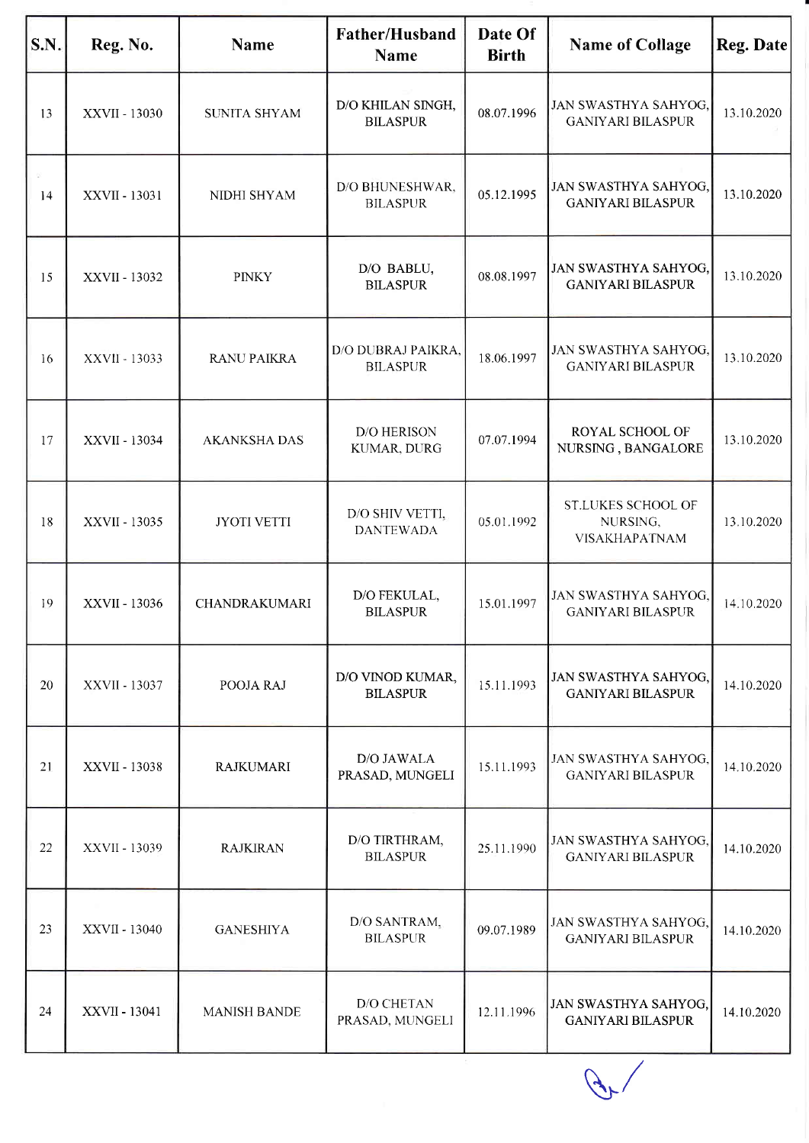| S.N. | Reg. No.      | <b>Name</b>          | Father/Husband<br><b>Name</b>         | Date Of<br><b>Birth</b> | <b>Name of Collage</b>                                  | Reg. Date  |
|------|---------------|----------------------|---------------------------------------|-------------------------|---------------------------------------------------------|------------|
| 13   | XXVII - 13030 | <b>SUNITA SHYAM</b>  | D/O KHILAN SINGH,<br><b>BILASPUR</b>  | 08.07.1996              | JAN SWASTHYA SAHYOG,<br><b>GANIYARI BILASPUR</b>        | 13.10.2020 |
| 14   | XXVII - 13031 | NIDHI SHYAM          | D/O BHUNESHWAR,<br><b>BILASPUR</b>    | 05.12.1995              | JAN SWASTHYA SAHYOG,<br><b>GANIYARI BILASPUR</b>        | 13.10.2020 |
| 15   | XXVII - 13032 | <b>PINKY</b>         | D/O BABLU,<br><b>BILASPUR</b>         | 08.08.1997              | JAN SWASTHYA SAHYOG,<br><b>GANIYARI BILASPUR</b>        | 13.10.2020 |
| 16   | XXVII - 13033 | <b>RANU PAIKRA</b>   | D/O DUBRAJ PAIKRA,<br><b>BILASPUR</b> | 18.06.1997              | JAN SWASTHYA SAHYOG,<br><b>GANIYARI BILASPUR</b>        | 13.10.2020 |
| 17   | XXVII - 13034 | <b>AKANKSHA DAS</b>  | D/O HERISON<br>KUMAR, DURG            | 07.07.1994              | ROYAL SCHOOL OF<br>NURSING, BANGALORE                   | 13.10.2020 |
| 18   | XXVII - 13035 | <b>JYOTI VETTI</b>   | D/O SHIV VETTI,<br><b>DANTEWADA</b>   | 05.01.1992              | <b>ST.LUKES SCHOOL OF</b><br>NURSING,<br>VISAKHAPATNAM  | 13.10.2020 |
| 19   | XXVII - 13036 | <b>CHANDRAKUMARI</b> | D/O FEKULAL,<br><b>BILASPUR</b>       | 15.01.1997              | JAN SWASTHYA SAHYOG,<br><b>GANIYARI BILASPUR</b>        | 14.10.2020 |
| 20   | XXVII - 13037 | POOJA RAJ            | D/O VINOD KUMAR,<br><b>BILASPUR</b>   | 15.11.1993              | <b>JAN SWASTHYA SAHYOG,</b><br><b>GANIYARI BILASPUR</b> | 14.10.2020 |
| 21   | XXVII - 13038 | <b>RAJKUMARI</b>     | D/O JAWALA<br>PRASAD, MUNGELI         | 15.11.1993              | JAN SWASTHYA SAHYOG,<br><b>GANIYARI BILASPUR</b>        | 14.10.2020 |
| 22   | XXVII - 13039 | <b>RAJKIRAN</b>      | D/O TIRTHRAM,<br><b>BILASPUR</b>      | 25.11.1990              | JAN SWASTHYA SAHYOG,<br><b>GANIYARI BILASPUR</b>        | 14.10.2020 |
| 23   | XXVII - 13040 | <b>GANESHIYA</b>     | D/O SANTRAM.<br><b>BILASPUR</b>       | 09.07.1989              | JAN SWASTHYA SAHYOG,<br><b>GANIYARI BILASPUR</b>        | 14.10.2020 |
| 24   | XXVII - 13041 | <b>MANISH BANDE</b>  | <b>D/O CHETAN</b><br>PRASAD, MUNGELI  | 12.11.1996              | JAN SWASTHYA SAHYOG,<br><b>GANIYARI BILASPUR</b>        | 14.10.2020 |

 $\mathscr{F}$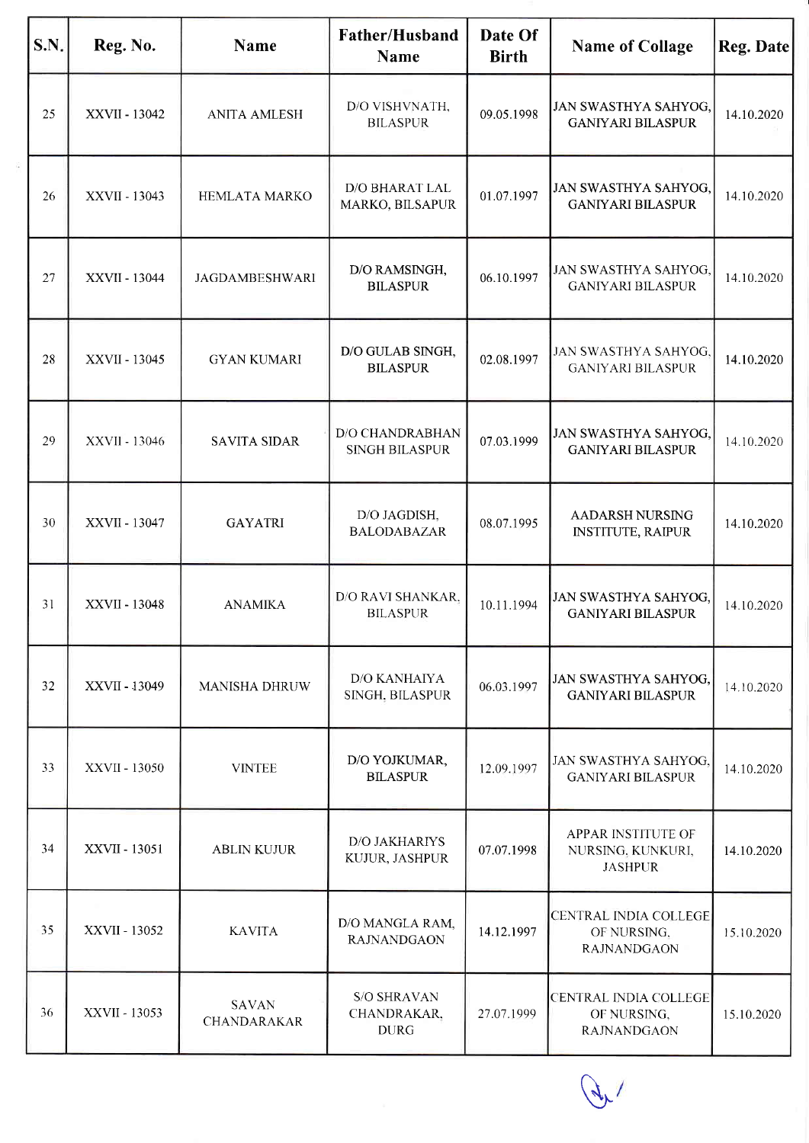| S.N. | Reg. No.      | <b>Name</b>                        | <b>Father/Husband</b><br><b>Name</b>             | Date Of<br><b>Birth</b> | <b>Name of Collage</b>                                            | <b>Reg. Date</b> |
|------|---------------|------------------------------------|--------------------------------------------------|-------------------------|-------------------------------------------------------------------|------------------|
| 25   | XXVII - 13042 | <b>ANITA AMLESH</b>                | D/O VISHVNATH,<br><b>BILASPUR</b>                | 09.05.1998              | JAN SWASTHYA SAHYOG,<br><b>GANIYARI BILASPUR</b>                  | 14.10.2020       |
| 26   | XXVII - 13043 | <b>HEMLATA MARKO</b>               | D/O BHARAT LAL<br>MARKO, BILSAPUR                | 01.07.1997              | JAN SWASTHYA SAHYOG,<br><b>GANIYARI BILASPUR</b>                  | 14.10.2020       |
| 27   | XXVII - 13044 | <b>JAGDAMBESHWARI</b>              | D/O RAMSINGH,<br><b>BILASPUR</b>                 | 06.10.1997              | JAN SWASTHYA SAHYOG,<br><b>GANIYARI BILASPUR</b>                  | 14.10.2020       |
| 28   | XXVII - 13045 | <b>GYAN KUMARI</b>                 | D/O GULAB SINGH,<br><b>BILASPUR</b>              | 02.08.1997              | JAN SWASTHYA SAHYOG,<br><b>GANIYARI BILASPUR</b>                  | 14.10.2020       |
| 29   | XXVII - 13046 | <b>SAVITA SIDAR</b>                | <b>D/O CHANDRABHAN</b><br><b>SINGH BILASPUR</b>  | 07.03.1999              | JAN SWASTHYA SAHYOG,<br><b>GANIYARI BILASPUR</b>                  | 14.10.2020       |
| 30   | XXVII - 13047 | <b>GAYATRI</b>                     | D/O JAGDISH,<br><b>BALODABAZAR</b>               | 08.07.1995              | AADARSH NURSING<br><b>INSTITUTE, RAIPUR</b>                       | 14.10.2020       |
| 31   | XXVII - 13048 | <b>ANAMIKA</b>                     | D/O RAVI SHANKAR,<br><b>BILASPUR</b>             | 10.11.1994              | JAN SWASTHYA SAHYOG,<br><b>GANIYARI BILASPUR</b>                  | 14.10.2020       |
| 32   | XXVII - 13049 | <b>MANISHA DHRUW</b>               | <b>D/O KANHAIYA</b><br>SINGH, BILASPUR           | 06.03.1997              | JAN SWASTHYA SAHYOG,<br><b>GANIYARI BILASPUR</b>                  | 14.10.2020       |
| 33   | XXVII - 13050 | <b>VINTEE</b>                      | D/O YOJKUMAR,<br><b>BILASPUR</b>                 | 12.09.1997              | JAN SWASTHYA SAHYOG,<br><b>GANIYARI BILASPUR</b>                  | 14.10.2020       |
| 34   | XXVII - 13051 | <b>ABLIN KUJUR</b>                 | D/O JAKHARIYS<br>KUJUR, JASHPUR                  | 07.07.1998              | APPAR INSTITUTE OF<br>NURSING, KUNKURI,<br><b>JASHPUR</b>         | 14.10.2020       |
| 35   | XXVII - 13052 | <b>KAVITA</b>                      | D/O MANGLA RAM,<br><b>RAJNANDGAON</b>            | 14.12.1997              | CENTRAL INDIA COLLEGE<br>OF NURSING,<br><b>RAJNANDGAON</b>        | 15.10.2020       |
| 36   | XXVII - 13053 | <b>SAVAN</b><br><b>CHANDARAKAR</b> | <b>S/O SHRAVAN</b><br>CHANDRAKAR,<br><b>DURG</b> | 27.07.1999              | <b>CENTRAL INDIA COLLEGE</b><br>OF NURSING,<br><b>RAJNANDGAON</b> | 15.10.2020       |

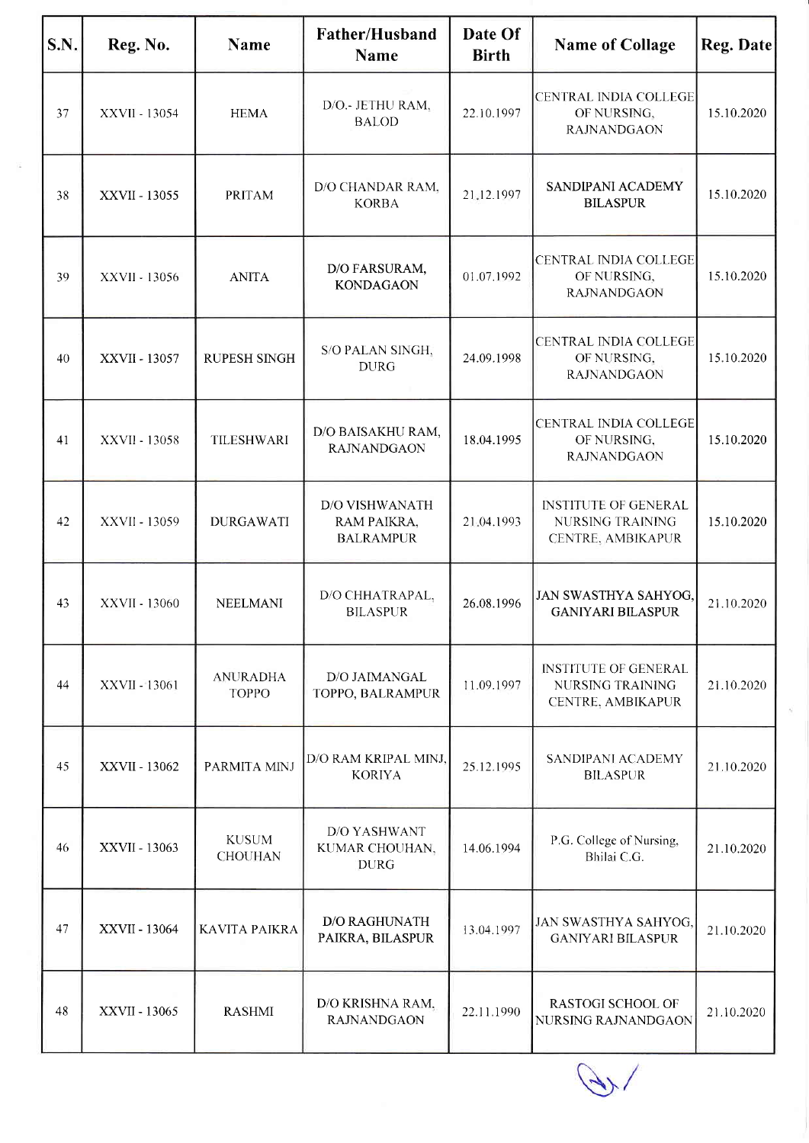| S.N. | Reg. No.      | <b>Name</b>                     | Father/Husband<br><b>Name</b>                            | Date Of<br><b>Birth</b> | <b>Name of Collage</b>                                                             | Reg. Date  |
|------|---------------|---------------------------------|----------------------------------------------------------|-------------------------|------------------------------------------------------------------------------------|------------|
| 37   | XXVII - 13054 | <b>HEMA</b>                     | D/O.- JETHU RAM,<br><b>BALOD</b>                         | 22.10.1997              | CENTRAL INDIA COLLEGE<br>OF NURSING,<br><b>RAJNANDGAON</b>                         | 15.10.2020 |
| 38   | XXVII - 13055 | <b>PRITAM</b>                   | D/O CHANDAR RAM.<br><b>KORBA</b>                         | 21.12.1997              | SANDIPANI ACADEMY<br><b>BILASPUR</b>                                               | 15.10.2020 |
| 39   | XXVII - 13056 | <b>ANITA</b>                    | D/O FARSURAM,<br><b>KONDAGAON</b>                        | 01.07.1992              | CENTRAL INDIA COLLEGE<br>OF NURSING,<br><b>RAJNANDGAON</b>                         | 15.10.2020 |
| 40   | XXVII - 13057 | <b>RUPESH SINGH</b>             | S/O PALAN SINGH,<br><b>DURG</b>                          | 24.09.1998              | <b>CENTRAL INDIA COLLEGE</b><br>OF NURSING,<br><b>RAJNANDGAON</b>                  | 15.10.2020 |
| 41   | XXVII - 13058 | <b>TILESHWARI</b>               | D/O BAISAKHU RAM,<br><b>RAJNANDGAON</b>                  | 18.04.1995              | CENTRAL INDIA COLLEGE<br>OF NURSING,<br><b>RAJNANDGAON</b>                         | 15.10.2020 |
| 42   | XXVII - 13059 | <b>DURGAWATI</b>                | <b>D/O VISHWANATH</b><br>RAM PAIKRA,<br><b>BALRAMPUR</b> | 21.04.1993              | <b>INSTITUTE OF GENERAL</b><br><b>NURSING TRAINING</b><br>CENTRE, AMBIKAPUR        | 15.10.2020 |
| 43   | XXVII - 13060 | <b>NEELMANI</b>                 | D/O CHHATRAPAL,<br><b>BILASPUR</b>                       | 26.08.1996              | JAN SWASTHYA SAHYOG,<br><b>GANIYARI BILASPUR</b>                                   | 21.10.2020 |
| 44   | XXVII - 13061 | <b>ANURADHA</b><br><b>TOPPO</b> | D/O JAIMANGAL<br>TOPPO, BALRAMPUR                        | 11.09.1997              | <b>INSTITUTE OF GENERAL</b><br><b>NURSING TRAINING</b><br><b>CENTRE, AMBIKAPUR</b> | 21.10.2020 |
| 45   | XXVII - 13062 | PARMITA MINJ                    | D/O RAM KRIPAL MINJ,<br><b>KORIYA</b>                    | 25.12.1995              | SANDIPANI ACADEMY<br><b>BILASPUR</b>                                               | 21.10.2020 |
| 46   | XXVII - 13063 | <b>KUSUM</b><br><b>CHOUHAN</b>  | <b>D/O YASHWANT</b><br>KUMAR CHOUHAN,<br><b>DURG</b>     | 14.06.1994              | P.G. College of Nursing,<br>Bhilai C.G.                                            | 21.10.2020 |
| 47   | XXVII - 13064 | <b>KAVITA PAIKRA</b>            | <b>D/O RAGHUNATH</b><br>PAIKRA, BILASPUR                 | 13.04.1997              | JAN SWASTHYA SAHYOG,<br><b>GANIYARI BILASPUR</b>                                   | 21.10.2020 |
| 48   | XXVII - 13065 | <b>RASHMI</b>                   | D/O KRISHNA RAM,<br><b>RAJNANDGAON</b>                   | 22.11.1990              | RASTOGI SCHOOL OF<br>NURSING RAJNANDGAON                                           | 21.10.2020 |

\}/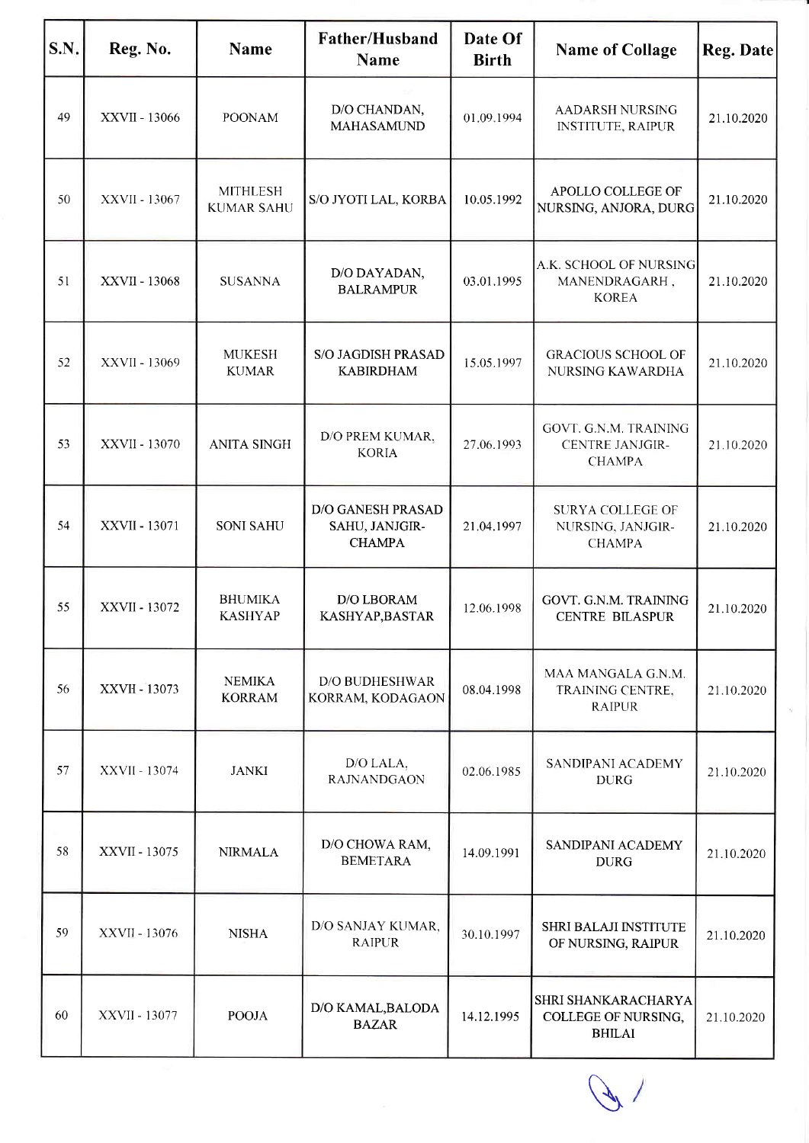| S.N. | Reg. No.      | <b>Name</b>                          | Father/Husband<br><b>Name</b>                        | Date Of<br><b>Birth</b> | <b>Name of Collage</b>                                           | Reg. Date  |
|------|---------------|--------------------------------------|------------------------------------------------------|-------------------------|------------------------------------------------------------------|------------|
| 49   | XXVII - 13066 | <b>POONAM</b>                        | D/O CHANDAN,<br><b>MAHASAMUND</b>                    | 01.09.1994              | AADARSH NURSING<br><b>INSTITUTE, RAIPUR</b>                      | 21.10.2020 |
| 50   | XXVII - 13067 | <b>MITHLESH</b><br><b>KUMAR SAHU</b> | S/O JYOTI LAL, KORBA                                 | 10.05.1992              | APOLLO COLLEGE OF<br>NURSING, ANJORA, DURG                       | 21.10.2020 |
| 51   | XXVII - 13068 | <b>SUSANNA</b>                       | D/O DAYADAN,<br><b>BALRAMPUR</b>                     | 03.01.1995              | A.K. SCHOOL OF NURSING<br>MANENDRAGARH,<br><b>KOREA</b>          | 21.10.2020 |
| 52   | XXVII - 13069 | <b>MUKESH</b><br><b>KUMAR</b>        | S/O JAGDISH PRASAD<br><b>KABIRDHAM</b>               | 15.05.1997              | <b>GRACIOUS SCHOOL OF</b><br>NURSING KAWARDHA                    | 21.10.2020 |
| 53   | XXVII - 13070 | <b>ANITA SINGH</b>                   | D/O PREM KUMAR,<br><b>KORIA</b>                      | 27.06.1993              | GOVT. G.N.M. TRAINING<br><b>CENTRE JANJGIR-</b><br><b>CHAMPA</b> | 21.10.2020 |
| 54   | XXVII - 13071 | <b>SONI SAHU</b>                     | D/O GANESH PRASAD<br>SAHU, JANJGIR-<br><b>CHAMPA</b> | 21.04.1997              | <b>SURYA COLLEGE OF</b><br>NURSING, JANJGIR-<br><b>CHAMPA</b>    | 21.10.2020 |
| 55   | XXVII - 13072 | <b>BHUMIKA</b><br><b>KASHYAP</b>     | D/O LBORAM<br>KASHYAP, BASTAR                        | 12.06.1998              | GOVT. G.N.M. TRAINING<br><b>CENTRE BILASPUR</b>                  | 21.10.2020 |
| 56   | XXVII - 13073 | <b>NEMIKA</b><br><b>KORRAM</b>       | <b>D/O BUDHESHWAR</b><br>KORRAM, KODAGAON            | 08.04.1998              | MAA MANGALA G.N.M.<br>TRAINING CENTRE,<br><b>RAIPUR</b>          | 21.10.2020 |
| 57   | XXVII - 13074 | <b>JANKI</b>                         | D/O LALA,<br><b>RAJNANDGAON</b>                      | 02.06.1985              | SANDIPANI ACADEMY<br><b>DURG</b>                                 | 21.10.2020 |
| 58   | XXVII - 13075 | <b>NIRMALA</b>                       | D/O CHOWA RAM,<br><b>BEMETARA</b>                    | 14.09.1991              | SANDIPANI ACADEMY<br><b>DURG</b>                                 | 21.10.2020 |
| 59   | XXVII - 13076 | <b>NISHA</b>                         | D/O SANJAY KUMAR,<br><b>RAIPUR</b>                   | 30.10.1997              | <b>SHRI BALAJI INSTITUTE</b><br>OF NURSING, RAIPUR               | 21.10.2020 |
| 60   | XXVII - 13077 | <b>POOJA</b>                         | D/O KAMAL, BALODA<br><b>BAZAR</b>                    | 14.12.1995              | SHRI SHANKARACHARYA<br>COLLEGE OF NURSING,<br><b>BHILAI</b>      | 21.10.2020 |

 $\sqrt{2}$